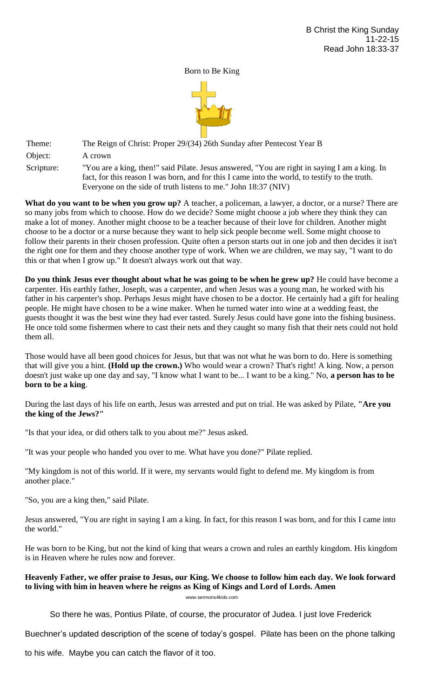Born to Be King



Theme: The Reign of Christ: Proper 29/(34) 26th Sunday after Pentecost Year B Object: A crown

Scripture: "You are a king, then!" said Pilate. Jesus answered, "You are right in saying I am a king. In fact, for this reason I was born, and for this I came into the world, to testify to the truth. Everyone on the side of truth listens to me." John 18:37 (NIV)

**What do you want to be when you grow up?** A teacher, a policeman, a lawyer, a doctor, or a nurse? There are so many jobs from which to choose. How do we decide? Some might choose a job where they think they can make a lot of money. Another might choose to be a teacher because of their love for children. Another might choose to be a doctor or a nurse because they want to help sick people become well. Some might choose to follow their parents in their chosen profession. Quite often a person starts out in one job and then decides it isn't the right one for them and they choose another type of work. When we are children, we may say, "I want to do this or that when I grow up." It doesn't always work out that way.

**Do you think Jesus ever thought about what he was going to be when he grew up?** He could have become a carpenter. His earthly father, Joseph, was a carpenter, and when Jesus was a young man, he worked with his father in his carpenter's shop. Perhaps Jesus might have chosen to be a doctor. He certainly had a gift for healing people. He might have chosen to be a wine maker. When he turned water into wine at a wedding feast, the guests thought it was the best wine they had ever tasted. Surely Jesus could have gone into the fishing business. He once told some fishermen where to cast their nets and they caught so many fish that their nets could not hold them all.

Those would have all been good choices for Jesus, but that was not what he was born to do. Here is something that will give you a hint. **(Hold up the crown.)** Who would wear a crown? That's right! A king. Now, a person doesn't just wake up one day and say, "I know what I want to be... I want to be a king." No, **a person has to be born to be a king**.

During the last days of his life on earth, Jesus was arrested and put on trial. He was asked by Pilate, **"Are you the king of the Jews?"**

"Is that your idea, or did others talk to you about me?" Jesus asked.

"It was your people who handed you over to me. What have you done?" Pilate replied.

"My kingdom is not of this world. If it were, my servants would fight to defend me. My kingdom is from another place."

"So, you are a king then," said Pilate.

Jesus answered, "You are right in saying I am a king. In fact, for this reason I was born, and for this I came into the world."

He was born to be King, but not the kind of king that wears a crown and rules an earthly kingdom. His kingdom is in Heaven where he rules now and forever.

## **Heavenly Father, we offer praise to Jesus, our King. We choose to follow him each day. We look forward to living with him in heaven where he reigns as King of Kings and Lord of Lords. Amen**

www.sermons4kids.com

So there he was, Pontius Pilate, of course, the procurator of Judea. I just love Frederick

Buechner's updated description of the scene of today's gospel. Pilate has been on the phone talking

to his wife. Maybe you can catch the flavor of it too.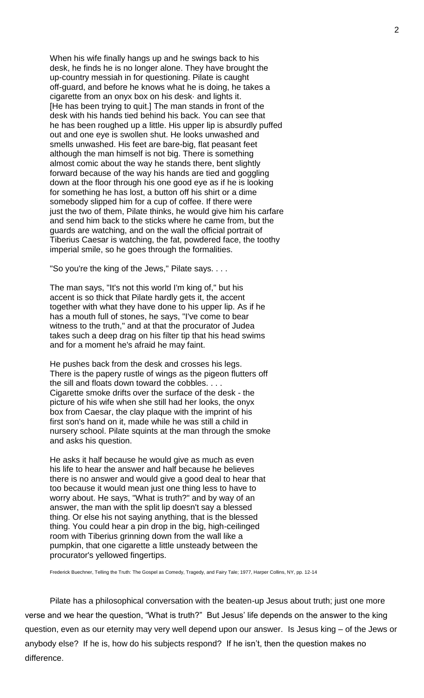When his wife finally hangs up and he swings back to his desk, he finds he is no longer alone. They have brought the up-country messiah in for questioning. Pilate is caught off-guard, and before he knows what he is doing, he takes a cigarette from an onyx box on his desk· and lights it. [He has been trying to quit.] The man stands in front of the desk with his hands tied behind his back. You can see that he has been roughed up a little. His upper lip is absurdly puffed out and one eye is swollen shut. He looks unwashed and smells unwashed. His feet are bare-big, flat peasant feet although the man himself is not big. There is something almost comic about the way he stands there, bent slightly forward because of the way his hands are tied and goggling down at the floor through his one good eye as if he is looking for something he has lost, a button off his shirt or a dime somebody slipped him for a cup of coffee. If there were just the two of them, Pilate thinks, he would give him his carfare and send him back to the sticks where he came from, but the guards are watching, and on the wall the official portrait of Tiberius Caesar is watching, the fat, powdered face, the toothy imperial smile, so he goes through the formalities.

"So you're the king of the Jews," Pilate says. . . .

The man says, "It's not this world I'm king of," but his accent is so thick that Pilate hardly gets it, the accent together with what they have done to his upper lip. As if he has a mouth full of stones, he says, "I've come to bear witness to the truth," and at that the procurator of Judea takes such a deep drag on his filter tip that his head swims and for a moment he's afraid he may faint.

He pushes back from the desk and crosses his legs. There is the papery rustle of wings as the pigeon flutters off the sill and floats down toward the cobbles. . . . Cigarette smoke drifts over the surface of the desk - the picture of his wife when she still had her looks, the onyx box from Caesar, the clay plaque with the imprint of his first son's hand on it, made while he was still a child in nursery school. Pilate squints at the man through the smoke and asks his question.

He asks it half because he would give as much as even his life to hear the answer and half because he believes there is no answer and would give a good deal to hear that too because it would mean just one thing less to have to worry about. He says, "What is truth?" and by way of an answer, the man with the split lip doesn't say a blessed thing. Or else his not saying anything, that is the blessed thing. You could hear a pin drop in the big, high-ceilinged room with Tiberius grinning down from the wall like a pumpkin, that one cigarette a little unsteady between the procurator's yellowed fingertips.

Frederick Buechner, Telling the Truth: The Gospel as Comedy, Tragedy, and Fairy Tale; 1977, Harper Collins, NY, pp. 12-14

Pilate has a philosophical conversation with the beaten-up Jesus about truth; just one more verse and we hear the question, "What is truth?" But Jesus' life depends on the answer to the king question, even as our eternity may very well depend upon our answer. Is Jesus king – of the Jews or anybody else? If he is, how do his subjects respond? If he isn't, then the question makes no difference.